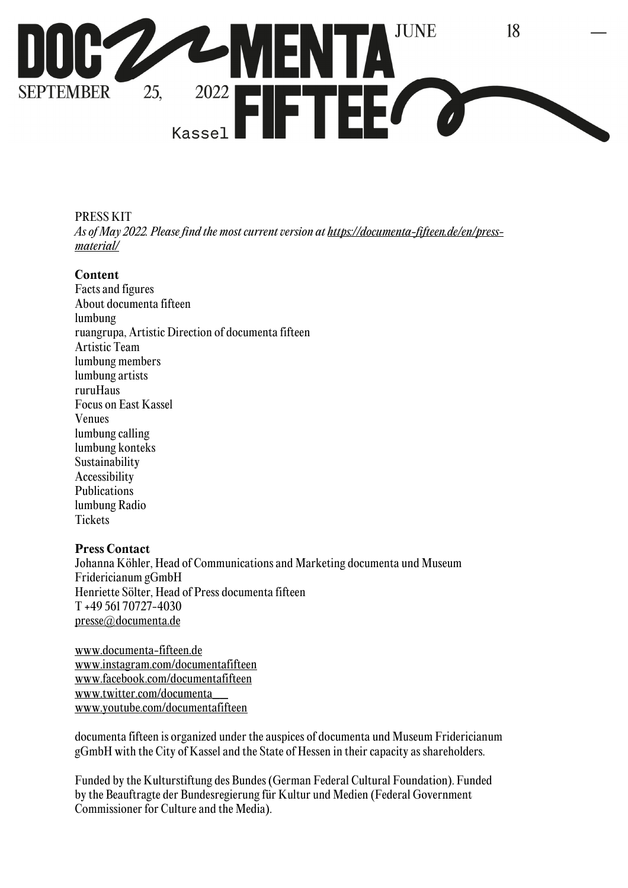

PRESS KIT *As of May 2022. Please find the most current version at https://documenta-fifteen.de/en/pressmaterial/*

#### **Content**

Facts and figures About documenta fifteen lumbung ruangrupa, Artistic Direction of documenta fifteen Artistic Team lumbung members lumbung artists ruruHaus Focus on East Kassel Venues lumbung calling lumbung konteks Sustainability Accessibility Publications lumbung Radio **Tickets** 

### **Press Contact**

Johanna Köhler, Head of Communications and Marketing documenta und Museum Fridericianum gGmbH Henriette Sölter, Head of Press documenta fifteen T +49 561 70727-4030 presse@documenta.de

www.documenta-fifteen.de www.instagram.com/documentafifteen www.facebook.com/documentafifteen www.twitter.com/documenta\_\_ www.youtube.com/documentafifteen

documenta fifteen is organized under the auspices of documenta und Museum Fridericianum gGmbH with the City of Kassel and the State of Hessen in their capacity as shareholders.

Funded by the Kulturstiftung des Bundes (German Federal Cultural Foundation). Funded by the Beauftragte der Bundesregierung für Kultur und Medien (Federal Government Commissioner for Culture and the Media).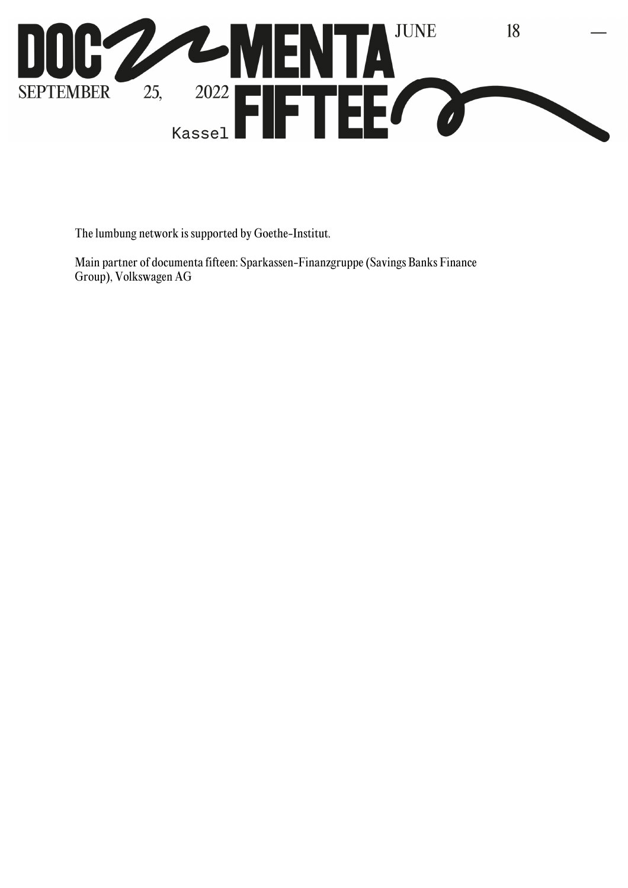

The lumbung network is supported by Goethe-Institut.

Main partner of documenta fifteen: Sparkassen-Finanzgruppe (Savings Banks Finance Group), Volkswagen AG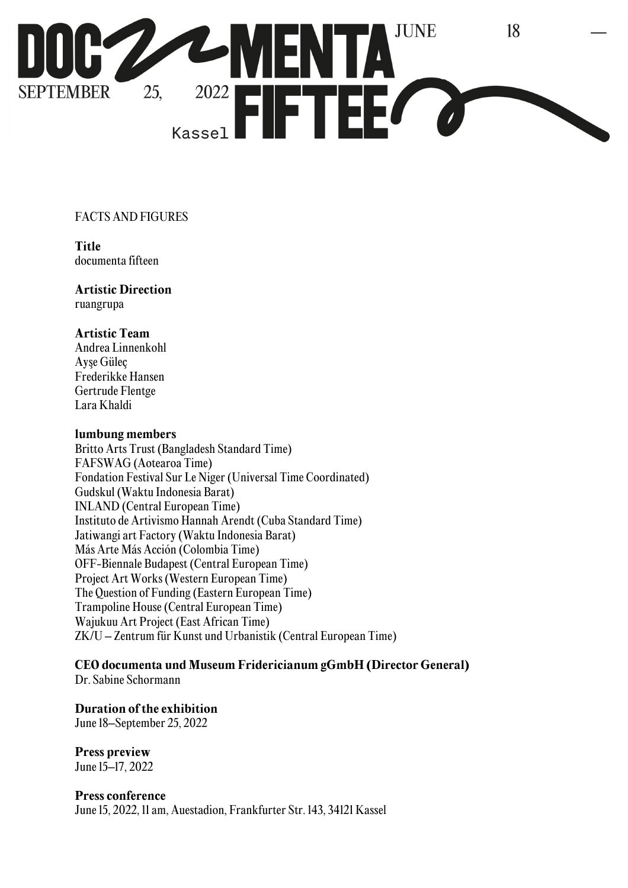

## FACTS AND FIGURES

**Title**  documenta fifteen

#### **Artistic Direction**  ruangrupa

### **Artistic Team**

Andrea Linnenkohl Ayşe Güleç Frederikke Hansen Gertrude Flentge Lara Khaldi

#### **lumbung members**

Britto Arts Trust (Bangladesh Standard Time) FAFSWAG (Aotearoa Time) Fondation Festival Sur Le Niger (Universal Time Coordinated) Gudskul (Waktu Indonesia Barat) INLAND (Central European Time) Instituto de Artivismo Hannah Arendt (Cuba Standard Time) Jatiwangi art Factory (Waktu Indonesia Barat) Más Arte Más Acción (Colombia Time) OFF-Biennale Budapest (Central European Time) Project Art Works (Western European Time) The Question of Funding (Eastern European Time) Trampoline House (Central European Time) Wajukuu Art Project (East African Time) ZK/U – Zentrum für Kunst und Urbanistik (Central European Time)

# **CEO documenta und Museum Fridericianum gGmbH (Director General)**

Dr. Sabine Schormann

## **Duration of the exhibition**

June 18–September 25, 2022

**Press preview**  June 15–17, 2022

### **Press conference**

June 15, 2022, 11 am, Auestadion, Frankfurter Str. 143, 34121 Kassel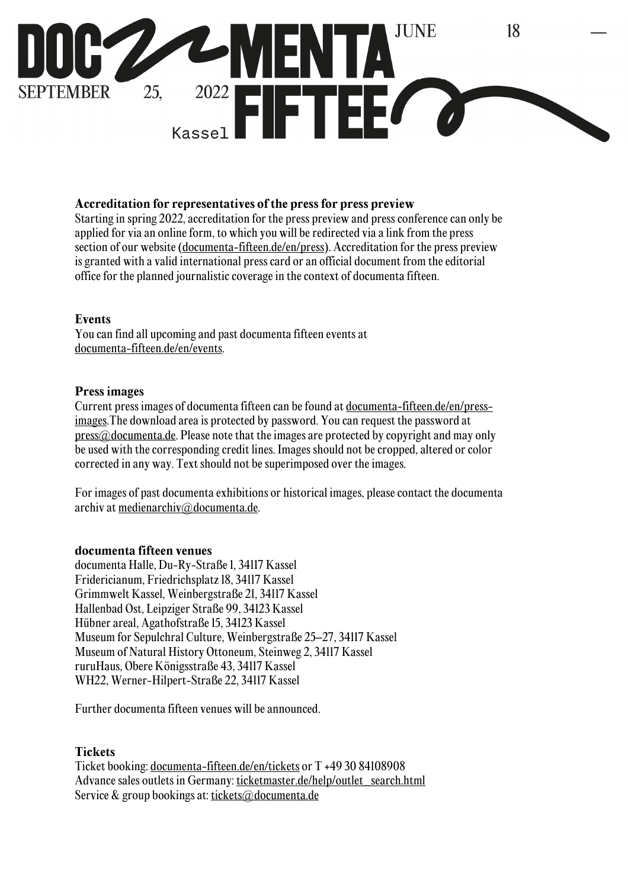

#### **Accreditation for representatives of the press for press preview**

Starting in spring 2022, accreditation for the press preview and press conference can only be applied for via an online form, to which you will be redirected via a link from the press section of our website (documenta-fifteen.de/en/press). Accreditation for the press preview is granted with a valid international press card or an official document from the editorial office for the planned journalistic coverage in the context of documenta fifteen.

#### **Events**

You can find all upcoming and past documenta fifteen events at documenta-fifteen.de/en/events.

#### **Press images**

Current press images of documenta fifteen can be found at documenta-fifteen.de/en/pressimages.The download area is protected by password. You can request the password at  $pres@<sub>d</sub> documenta.de. Please note that the images are protected by copyright and may only$ be used with the corresponding credit lines. Images should not be cropped, altered or color corrected in any way. Text should not be superimposed over the images.

For images of past documenta exhibitions or historical images, please contact the documenta archiv at medienarchiv@documenta.de.

#### **documenta fifteen venues**

documenta Halle, Du-Ry-Straße 1, 34117 Kassel Fridericianum, Friedrichsplatz 18, 34117 Kassel Grimmwelt Kassel, Weinbergstraße 21, 34117 Kassel Hallenbad Ost, Leipziger Straße 99, 34123 Kassel Hübner areal, Agathofstraße 15, 34123 Kassel Museum for Sepulchral Culture, Weinbergstraße 25–27, 34117 Kassel Museum of Natural History Ottoneum, Steinweg 2, 34117 Kassel ruruHaus, Obere Königsstraße 43, 34117 Kassel WH22, Werner-Hilpert-Straße 22, 34117 Kassel

Further documenta fifteen venues will be announced.

### **Tickets**

Ticket booking: documenta-fifteen.de/en/tickets or T +49 30 84108908 Advance sales outlets in Germany: ticketmaster.de/help/outlet\_search.html Service & group bookings at: tickets@documenta.de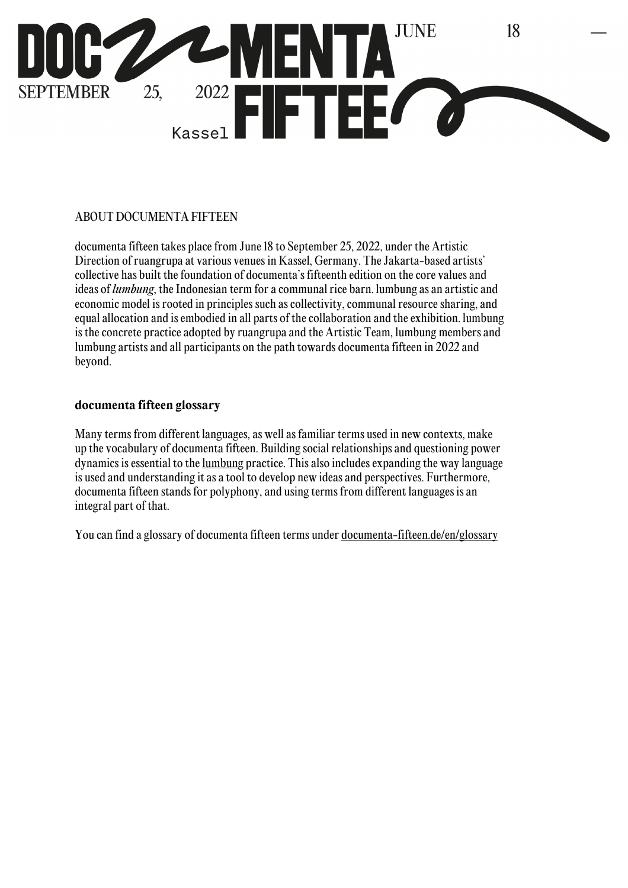

## ABOUT DOCUMENTA FIFTEEN

documenta fifteen takes place from June 18 to September 25, 2022, under the Artistic Direction of ruangrupa at various venues in Kassel, Germany. The Jakarta-based artists' collective has built the foundation of documenta's fifteenth edition on the core values and ideas of *lumbung*, the Indonesian term for a communal rice barn. lumbung as an artistic and economic model is rooted in principles such as collectivity, communal resource sharing, and equal allocation and is embodied in all parts of the collaboration and the exhibition. lumbung is the concrete practice adopted by ruangrupa and the Artistic Team, lumbung members and lumbung artists and all participants on the path towards documenta fifteen in 2022 and beyond.

### **documenta fifteen glossary**

Many terms from different languages, as well as familiar terms used in new contexts, make up the vocabulary of documenta fifteen. Building social relationships and questioning power dynamics is essential to the lumbung practice. This also includes expanding the way language is used and understanding it as a tool to develop new ideas and perspectives. Furthermore, documenta fifteen stands for polyphony, and using terms from different languages is an integral part of that.

You can find a glossary of documenta fifteen terms under <u>documenta-fifteen.de/en/glossary</u>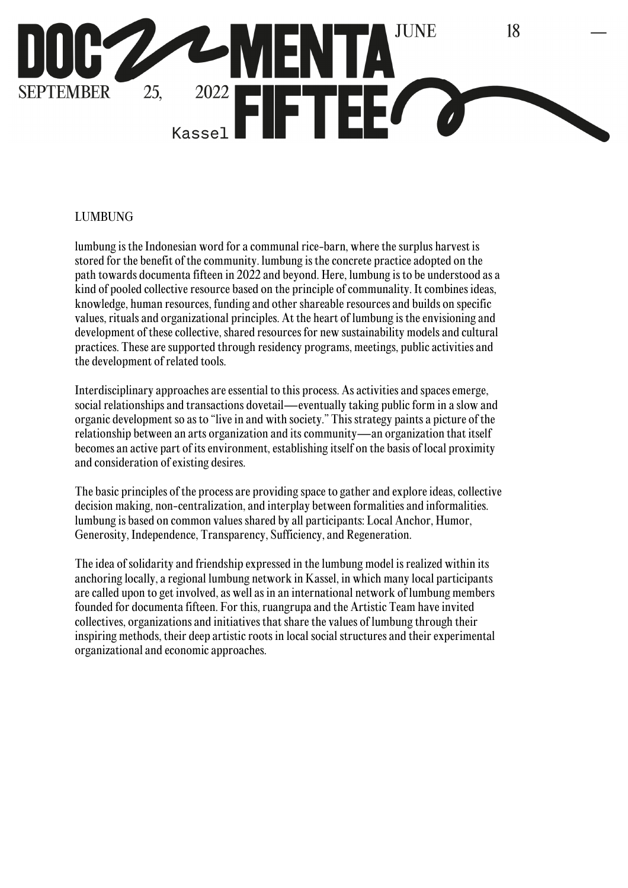

## LUMBUNG

lumbung is the Indonesian word for a communal rice-barn, where the surplus harvest is stored for the benefit of the community. lumbung is the concrete practice adopted on the path towards documenta fifteen in 2022 and beyond. Here, lumbung is to be understood as a kind of pooled collective resource based on the principle of communality. It combines ideas, knowledge, human resources, funding and other shareable resources and builds on specific values, rituals and organizational principles. At the heart of lumbung is the envisioning and development of these collective, shared resources for new sustainability models and cultural practices. These are supported through residency programs, meetings, public activities and the development of related tools.

Interdisciplinary approaches are essential to this process. As activities and spaces emerge, social relationships and transactions dovetail—eventually taking public form in a slow and organic development so as to "live in and with society." This strategy paints a picture of the relationship between an arts organization and its community—an organization that itself becomes an active part of its environment, establishing itself on the basis of local proximity and consideration of existing desires.

The basic principles of the process are providing space to gather and explore ideas, collective decision making, non-centralization, and interplay between formalities and informalities. lumbung is based on common values shared by all participants: Local Anchor, Humor, Generosity, Independence, Transparency, Sufficiency, and Regeneration.

The idea of solidarity and friendship expressed in the lumbung model is realized within its anchoring locally, a regional lumbung network in Kassel, in which many local participants are called upon to get involved, as well as in an international network of lumbung members founded for documenta fifteen. For this, ruangrupa and the Artistic Team have invited collectives, organizations and initiatives that share the values of lumbung through their inspiring methods, their deep artistic roots in local social structures and their experimental organizational and economic approaches.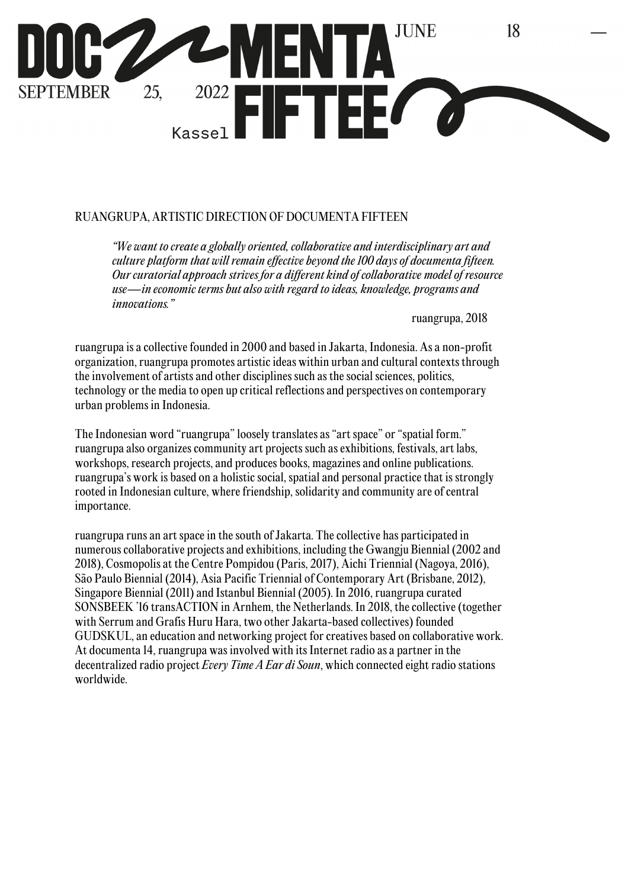

### RUANGRUPA, ARTISTIC DIRECTION OF DOCUMENTA FIFTEEN

*"We want to create a globally oriented, collaborative and interdisciplinary art and culture platform that will remain effective beyond the 100 days of documenta fifteen. Our curatorial approach strives for a different kind of collaborative model of resource use—in economic terms but also with regard to ideas, knowledge, programs and innovations."* 

ruangrupa, 2018

ruangrupa is a collective founded in 2000 and based in Jakarta, Indonesia. As a non-profit organization, ruangrupa promotes artistic ideas within urban and cultural contexts through the involvement of artists and other disciplines such as the social sciences, politics, technology or the media to open up critical reflections and perspectives on contemporary urban problems in Indonesia.

The Indonesian word "ruangrupa" loosely translates as "art space" or "spatial form." ruangrupa also organizes community art projects such as exhibitions, festivals, art labs, workshops, research projects, and produces books, magazines and online publications. ruangrupa's work is based on a holistic social, spatial and personal practice that is strongly rooted in Indonesian culture, where friendship, solidarity and community are of central importance.

ruangrupa runs an art space in the south of Jakarta. The collective has participated in numerous collaborative projects and exhibitions, including the Gwangju Biennial (2002 and 2018), Cosmopolis at the Centre Pompidou (Paris, 2017), Aichi Triennial (Nagoya, 2016), São Paulo Biennial (2014), Asia Pacific Triennial of Contemporary Art (Brisbane, 2012), Singapore Biennial (2011) and Istanbul Biennial (2005). In 2016, ruangrupa curated SONSBEEK '16 transACTION in Arnhem, the Netherlands. In 2018, the collective (together with Serrum and Grafis Huru Hara, two other Jakarta-based collectives) founded GUDSKUL, an education and networking project for creatives based on collaborative work. At documenta 14, ruangrupa was involved with its Internet radio as a partner in the decentralized radio project *Every Time A Ear di Soun*, which connected eight radio stations worldwide.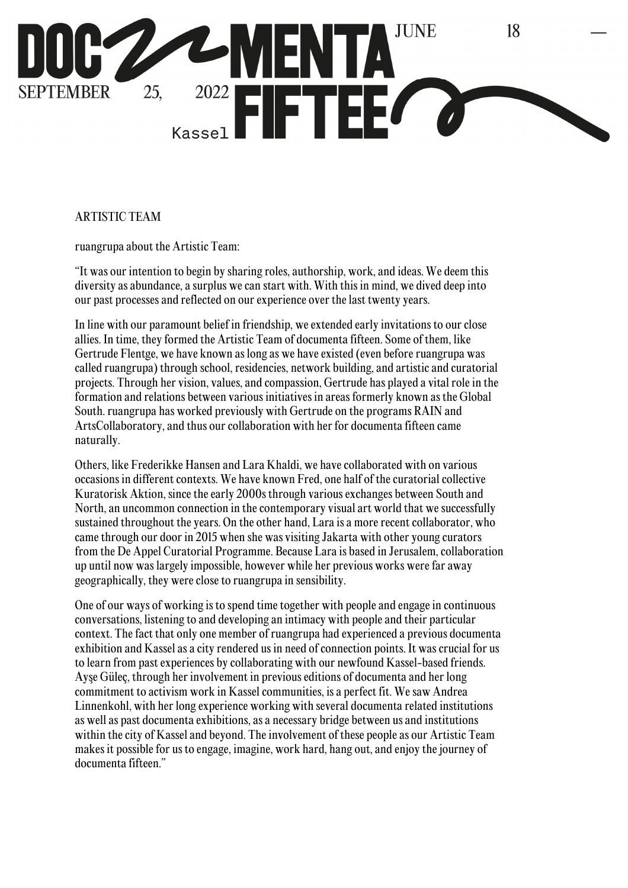

# ARTISTIC TEAM

ruangrupa about the Artistic Team:

"It was our intention to begin by sharing roles, authorship, work, and ideas. We deem this diversity as abundance, a surplus we can start with. With this in mind, we dived deep into our past processes and reflected on our experience over the last twenty years.

In line with our paramount belief in friendship, we extended early invitations to our close allies. In time, they formed the Artistic Team of documenta fifteen. Some of them, like Gertrude Flentge, we have known as long as we have existed (even before ruangrupa was called ruangrupa) through school, residencies, network building, and artistic and curatorial projects. Through her vision, values, and compassion, Gertrude has played a vital role in the formation and relations between various initiatives in areas formerly known as the Global South. ruangrupa has worked previously with Gertrude on the programs RAIN and ArtsCollaboratory, and thus our collaboration with her for documenta fifteen came naturally.

Others, like Frederikke Hansen and Lara Khaldi, we have collaborated with on various occasions in different contexts. We have known Fred, one half of the curatorial collective Kuratorisk Aktion, since the early 2000s through various exchanges between South and North, an uncommon connection in the contemporary visual art world that we successfully sustained throughout the years. On the other hand, Lara is a more recent collaborator, who came through our door in 2015 when she was visiting Jakarta with other young curators from the De Appel Curatorial Programme. Because Lara is based in Jerusalem, collaboration up until now was largely impossible, however while her previous works were far away geographically, they were close to ruangrupa in sensibility.

One of our ways of working is to spend time together with people and engage in continuous conversations, listening to and developing an intimacy with people and their particular context. The fact that only one member of ruangrupa had experienced a previous documenta exhibition and Kassel as a city rendered us in need of connection points. It was crucial for us to learn from past experiences by collaborating with our newfound Kassel-based friends. Ayşe Güleç, through her involvement in previous editions of documenta and her long commitment to activism work in Kassel communities, is a perfect fit. We saw Andrea Linnenkohl, with her long experience working with several documenta related institutions as well as past documenta exhibitions, as a necessary bridge between us and institutions within the city of Kassel and beyond. The involvement of these people as our Artistic Team makes it possible for us to engage, imagine, work hard, hang out, and enjoy the journey of documenta fifteen."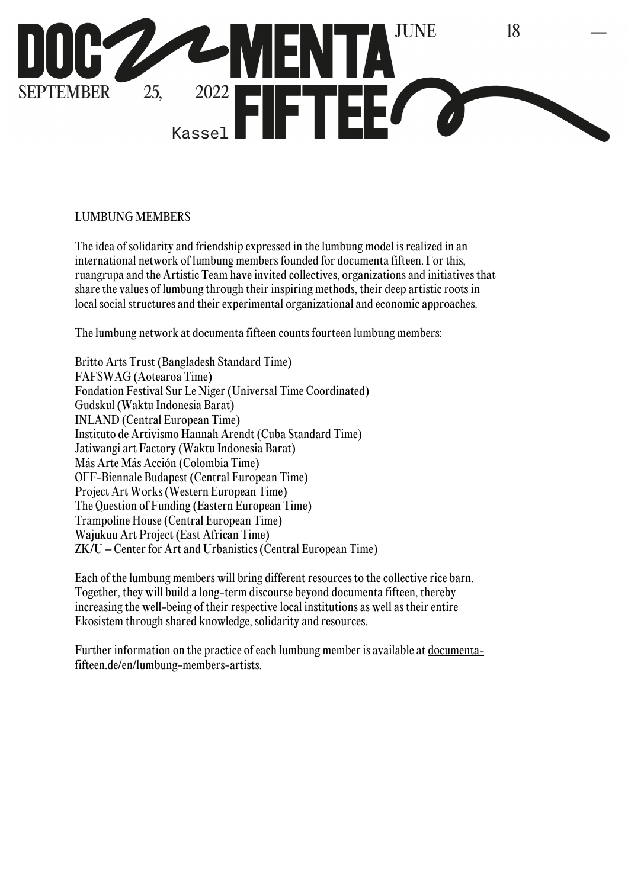

## LUMBUNG MEMBERS

The idea of solidarity and friendship expressed in the lumbung model is realized in an international network of lumbung members founded for documenta fifteen. For this, ruangrupa and the Artistic Team have invited collectives, organizations and initiatives that share the values of lumbung through their inspiring methods, their deep artistic roots in local social structures and their experimental organizational and economic approaches.

The lumbung network at documenta fifteen counts fourteen lumbung members:

Britto Arts Trust (Bangladesh Standard Time) FAFSWAG (Aotearoa Time) Fondation Festival Sur Le Niger (Universal Time Coordinated) Gudskul (Waktu Indonesia Barat) INLAND (Central European Time) Instituto de Artivismo Hannah Arendt (Cuba Standard Time) Jatiwangi art Factory (Waktu Indonesia Barat) Más Arte Más Acción (Colombia Time) OFF-Biennale Budapest (Central European Time) Project Art Works (Western European Time) The Question of Funding (Eastern European Time) Trampoline House (Central European Time) Wajukuu Art Project (East African Time) ZK/U – Center for Art and Urbanistics (Central European Time)

Each of the lumbung members will bring different resources to the collective rice barn. Together, they will build a long-term discourse beyond documenta fifteen, thereby increasing the well-being of their respective local institutions as well as their entire Ekosistem through shared knowledge, solidarity and resources.

Further information on the practice of each lumbung member is available at documentafifteen.de/en/lumbung-members-artists.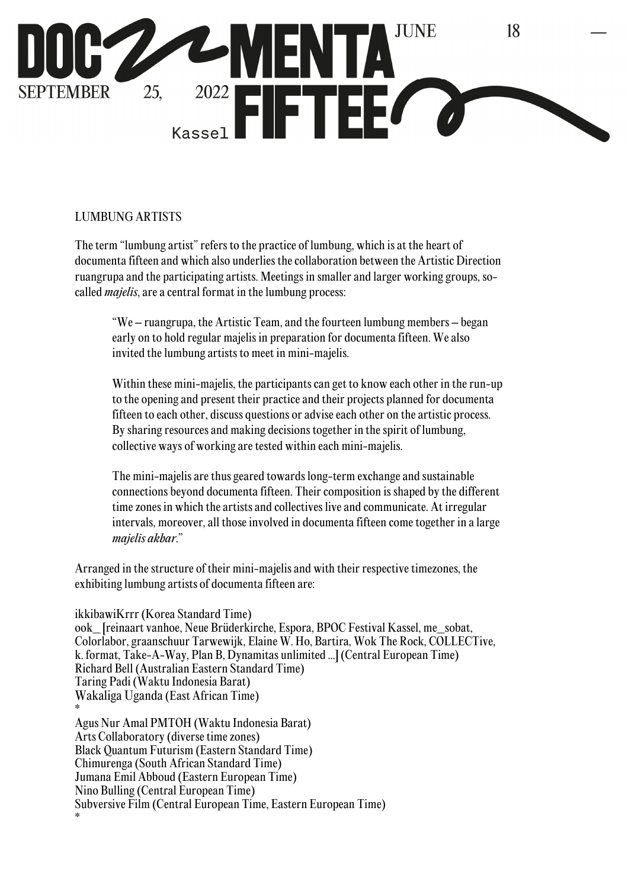

## LUMBUNG ARTISTS

The term "lumbung artist" refers to the practice of lumbung, which is at the heart of documenta fifteen and which also underlies the collaboration between the Artistic Direction ruangrupa and the participating artists. Meetings in smaller and larger working groups, socalled *majelis*, are a central format in the lumbung process:

"We – ruangrupa, the Artistic Team, and the fourteen lumbung members – began early on to hold regular majelis in preparation for documenta fifteen. We also invited the lumbung artists to meet in mini-majelis.

Within these mini-majelis, the participants can get to know each other in the run-up to the opening and present their practice and their projects planned for documenta fifteen to each other, discuss questions or advise each other on the artistic process. By sharing resources and making decisions together in the spirit of lumbung, collective ways of working are tested within each mini-majelis.

The mini-majelis are thus geared towards long-term exchange and sustainable connections beyond documenta fifteen. Their composition is shaped by the different time zones in which the artists and collectives live and communicate. At irregular intervals, moreover, all those involved in documenta fifteen come together in a large *majelis akbar*."

Arranged in the structure of their mini-majelis and with their respective timezones, the exhibiting lumbung artists of documenta fifteen are:

ikkibawiKrrr (Korea Standard Time) ook\_ [reinaart vanhoe, Neue Brüderkirche, Espora, BPOC Festival Kassel, me\_sobat, Colorlabor, graanschuur Tarwewijk, Elaine W. Ho, Bartira, Wok The Rock, COLLECTive, k. format, Take-A-Way, Plan B, Dynamitas unlimited ...] (Central European Time) Richard Bell (Australian Eastern Standard Time) Taring Padi (Waktu Indonesia Barat) Wakaliga Uganda (East African Time) \* Agus Nur Amal PMTOH (Waktu Indonesia Barat) Arts Collaboratory (diverse time zones) Black Quantum Futurism (Eastern Standard Time) Chimurenga (South African Standard Time) Jumana Emil Abboud (Eastern European Time) Nino Bulling (Central European Time) Subversive Film (Central European Time, Eastern European Time) \*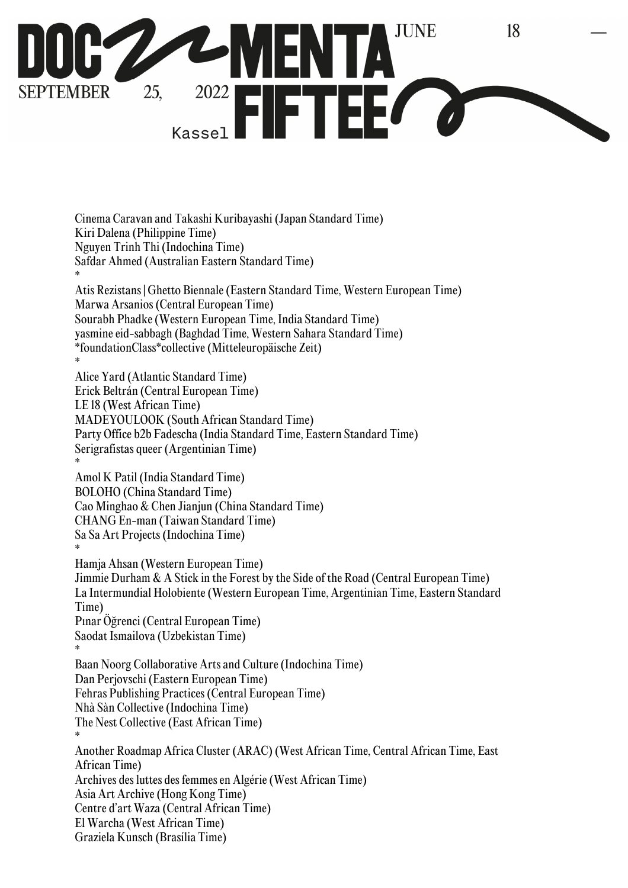

Cinema Caravan and Takashi Kuribayashi (Japan Standard Time) Kiri Dalena (Philippine Time) Nguyen Trinh Thi (Indochina Time) Safdar Ahmed (Australian Eastern Standard Time) \* Atis Rezistans | Ghetto Biennale (Eastern Standard Time, Western European Time) Marwa Arsanios (Central European Time) Sourabh Phadke (Western European Time, India Standard Time) yasmine eid-sabbagh (Baghdad Time, Western Sahara Standard Time) \*foundationClass\*collective (Mitteleuropäische Zeit)

\* Alice Yard (Atlantic Standard Time) Erick Beltrán (Central European Time) LE 18 (West African Time) MADEYOULOOK (South African Standard Time) Party Office b2b Fadescha (India Standard Time, Eastern Standard Time) Serigrafistas queer (Argentinian Time) \* Amol K Patil (India Standard Time) BOLOHO (China Standard Time) Cao Minghao & Chen Jianjun (China Standard Time) CHANG En-man (Taiwan Standard Time) Sa Sa Art Projects (Indochina Time) \* Hamja Ahsan (Western European Time)

Jimmie Durham & A Stick in the Forest by the Side of the Road (Central European Time) La Intermundial Holobiente (Western European Time, Argentinian Time, Eastern Standard Time) Pınar Öğrenci (Central European Time) Saodat Ismailova (Uzbekistan Time) \* Baan Noorg Collaborative Arts and Culture (Indochina Time) Dan Perjovschi (Eastern European Time) Fehras Publishing Practices (Central European Time) Nhà Sàn Collective (Indochina Time) The Nest Collective (East African Time) \* Another Roadmap Africa Cluster (ARAC) (West African Time, Central African Time, East African Time) Archives des luttes des femmes en Algérie (West African Time) Asia Art Archive (Hong Kong Time) Centre d'art Waza (Central African Time) El Warcha (West African Time) Graziela Kunsch (Brasília Time)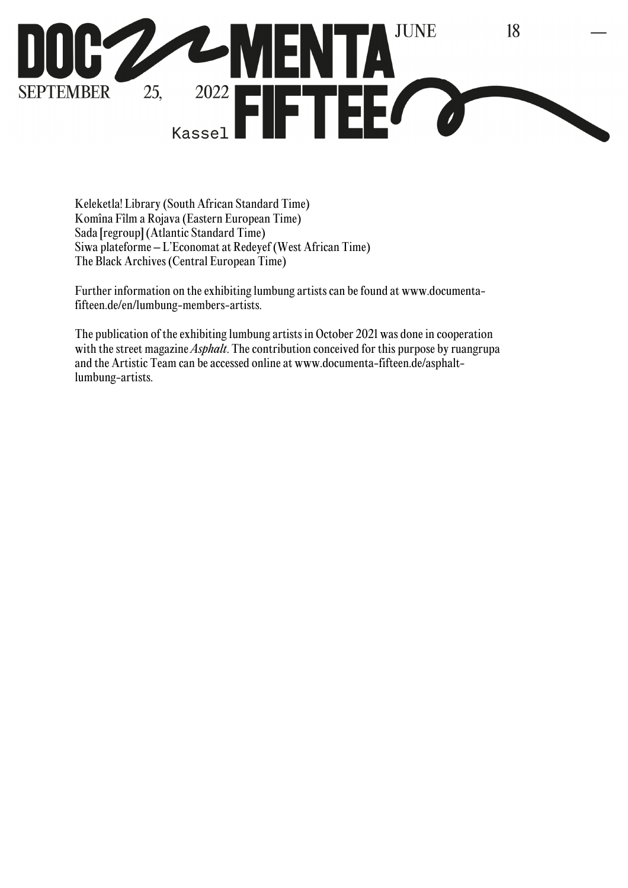

Keleketla! Library (South African Standard Time) Komîna Fîlm a Rojava (Eastern European Time) Sada [regroup] (Atlantic Standard Time) Siwa plateforme – L'Economat at Redeyef (West African Time) The Black Archives (Central European Time)

Further information on the exhibiting lumbung artists can be found at www.documentafifteen.de/en/lumbung-members-artists.

The publication of the exhibiting lumbung artists in October 2021 was done in cooperation with the street magazine *Asphalt*. The contribution conceived for this purpose by ruangrupa and the Artistic Team can be accessed online at www.documenta-fifteen.de/asphaltlumbung-artists.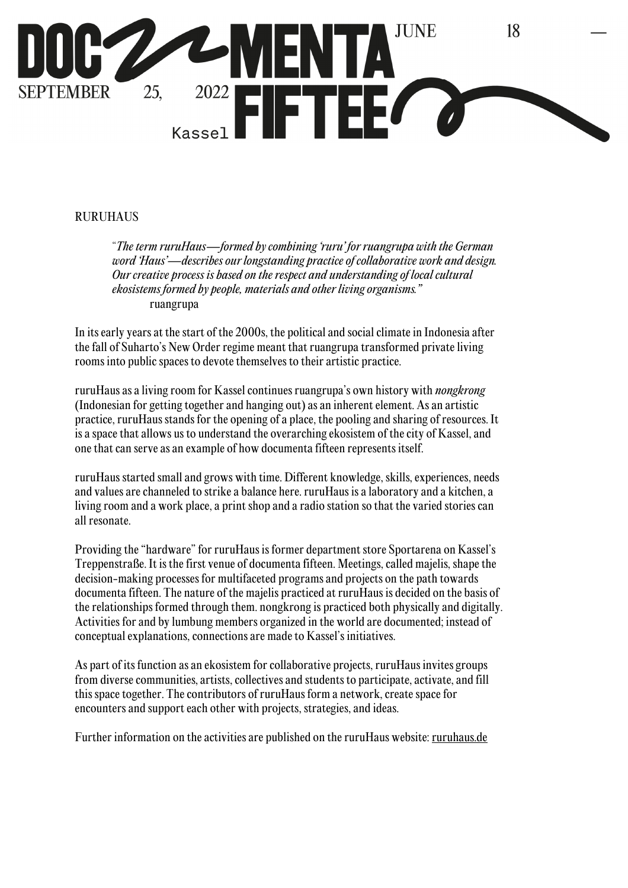

## RURUHAUS

"*The term ruruHaus—formed by combining 'ruru' for ruangrupa with the German word 'Haus'—describes our longstanding practice of collaborative work and design. Our creative process is based on the respect and understanding of local cultural ekosistems formed by people, materials and other living organisms."* ruangrupa

In its early years at the start of the 2000s, the political and social climate in Indonesia after the fall of Suharto's New Order regime meant that ruangrupa transformed private living rooms into public spaces to devote themselves to their artistic practice.

ruruHaus as a living room for Kassel continues ruangrupa's own history with *nongkrong* (Indonesian for getting together and hanging out) as an inherent element. As an artistic practice, ruruHaus stands for the opening of a place, the pooling and sharing of resources. It is a space that allows us to understand the overarching ekosistem of the city of Kassel, and one that can serve as an example of how documenta fifteen represents itself.

ruruHaus started small and grows with time. Different knowledge, skills, experiences, needs and values are channeled to strike a balance here. ruruHaus is a laboratory and a kitchen, a living room and a work place, a print shop and a radio station so that the varied stories can all resonate.

Providing the "hardware" for ruruHaus is former department store Sportarena on Kassel's Treppenstraße. It is the first venue of documenta fifteen. Meetings, called majelis, shape the decision-making processes for multifaceted programs and projects on the path towards documenta fifteen. The nature of the majelis practiced at ruruHaus is decided on the basis of the relationships formed through them. nongkrong is practiced both physically and digitally. Activities for and by lumbung members organized in the world are documented; instead of conceptual explanations, connections are made to Kassel's initiatives.

As part of its function as an ekosistem for collaborative projects, ruruHaus invites groups from diverse communities, artists, collectives and students to participate, activate, and fill this space together. The contributors of ruruHaus form a network, create space for encounters and support each other with projects, strategies, and ideas.

Further information on the activities are published on the ruruHaus website: ruruhaus.de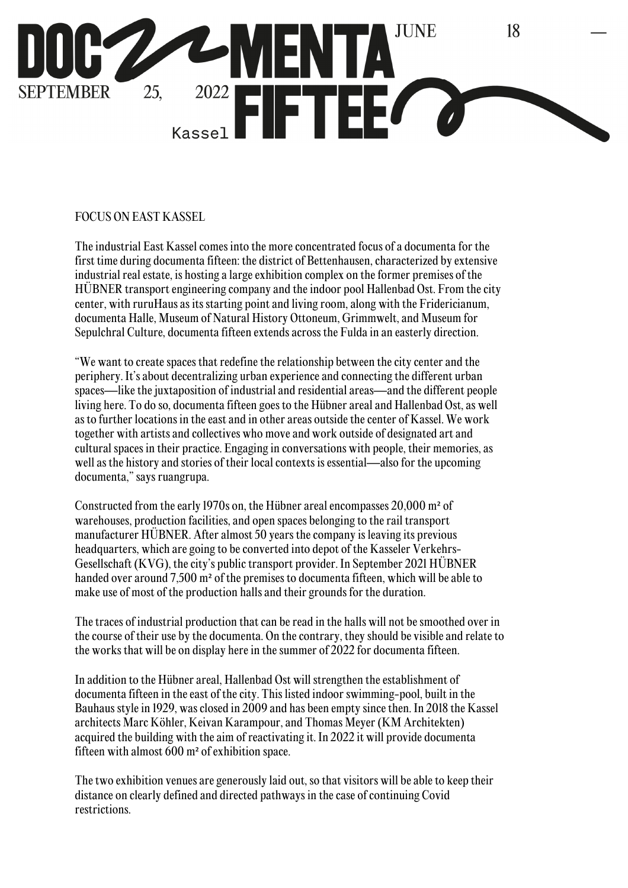

## FOCUS ON EAST KASSEL

The industrial East Kassel comes into the more concentrated focus of a documenta for the first time during documenta fifteen: the district of Bettenhausen, characterized by extensive industrial real estate, is hosting a large exhibition complex on the former premises of the HÜBNER transport engineering company and the indoor pool Hallenbad Ost. From the city center, with ruruHaus as its starting point and living room, along with the Fridericianum, documenta Halle, Museum of Natural History Ottoneum, Grimmwelt, and Museum for Sepulchral Culture, documenta fifteen extends across the Fulda in an easterly direction.

"We want to create spaces that redefine the relationship between the city center and the periphery. It's about decentralizing urban experience and connecting the different urban spaces—like the juxtaposition of industrial and residential areas—and the different people living here. To do so, documenta fifteen goes to the Hübner areal and Hallenbad Ost, as well as to further locations in the east and in other areas outside the center of Kassel. We work together with artists and collectives who move and work outside of designated art and cultural spaces in their practice. Engaging in conversations with people, their memories, as well as the history and stories of their local contexts is essential—also for the upcoming documenta," says ruangrupa.

Constructed from the early 1970s on, the Hübner areal encompasses 20,000 m² of warehouses, production facilities, and open spaces belonging to the rail transport manufacturer HÜBNER. After almost 50 years the company is leaving its previous headquarters, which are going to be converted into depot of the Kasseler Verkehrs-Gesellschaft (KVG), the city's public transport provider. In September 2021 HÜBNER handed over around 7,500 m² of the premises to documenta fifteen, which will be able to make use of most of the production halls and their grounds for the duration.

The traces of industrial production that can be read in the halls will not be smoothed over in the course of their use by the documenta. On the contrary, they should be visible and relate to the works that will be on display here in the summer of 2022 for documenta fifteen.

In addition to the Hübner areal, Hallenbad Ost will strengthen the establishment of documenta fifteen in the east of the city. This listed indoor swimming-pool, built in the Bauhaus style in 1929, was closed in 2009 and has been empty since then. In 2018 the Kassel architects Marc Köhler, Keivan Karampour, and Thomas Meyer (KM Architekten) acquired the building with the aim of reactivating it. In 2022 it will provide documenta fifteen with almost 600 m² of exhibition space.

The two exhibition venues are generously laid out, so that visitors will be able to keep their distance on clearly defined and directed pathways in the case of continuing Covid restrictions.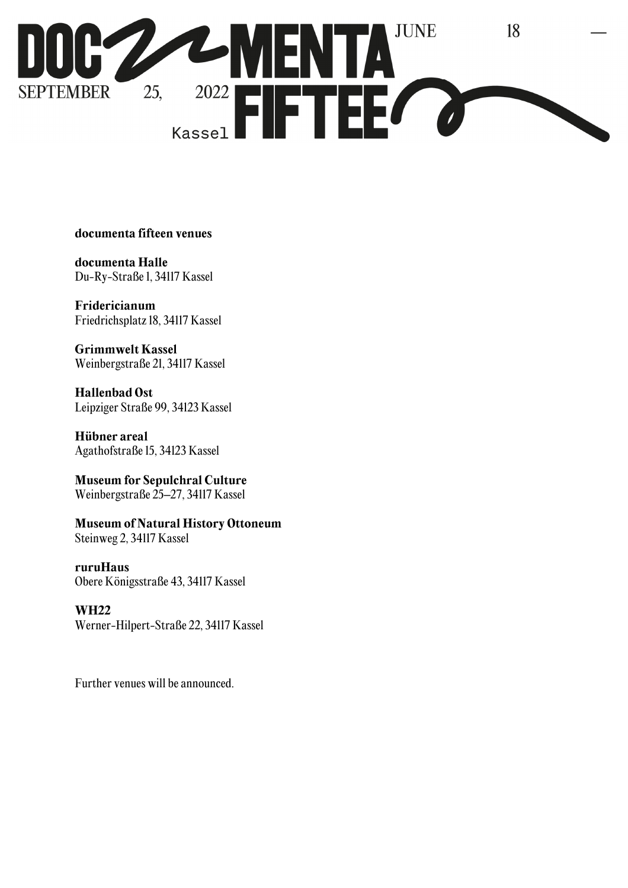

### **documenta fifteen venues**

**documenta Halle**  Du-Ry-Straße 1, 34117 Kassel

**Fridericianum** Friedrichsplatz 18, 34117 Kassel

**Grimmwelt Kassel** Weinbergstraße 21, 34117 Kassel

**Hallenbad Ost**  Leipziger Straße 99, 34123 Kassel

**Hübner areal** Agathofstraße 15, 34123 Kassel

**Museum for Sepulchral Culture** Weinbergstraße 25–27, 34117 Kassel

**Museum of Natural History Ottoneum**  Steinweg 2, 34117 Kassel

**ruruHaus** Obere Königsstraße 43, 34117 Kassel

#### **WH22**

Werner-Hilpert-Straße 22, 34117 Kassel

Further venues will be announced.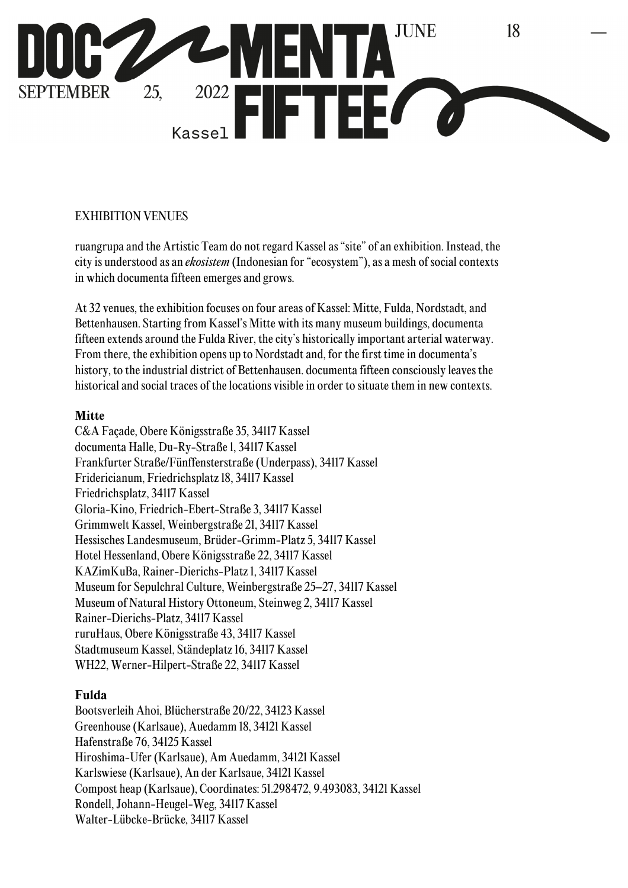

## EXHIBITION VENUES

ruangrupa and the Artistic Team do not regard Kassel as "site" of an exhibition. Instead, the city is understood as an *ekosistem* (Indonesian for "ecosystem"), as a mesh of social contexts in which documenta fifteen emerges and grows.

At 32 venues, the exhibition focuses on four areas of Kassel: Mitte, Fulda, Nordstadt, and Bettenhausen. Starting from Kassel's Mitte with its many museum buildings, documenta fifteen extends around the Fulda River, the city's historically important arterial waterway. From there, the exhibition opens up to Nordstadt and, for the first time in documenta's history, to the industrial district of Bettenhausen. documenta fifteen consciously leaves the historical and social traces of the locations visible in order to situate them in new contexts.

#### **Mitte**

C&A Façade, Obere Königsstraße 35, 34117 Kassel documenta Halle, Du-Ry-Straße 1, 34117 Kassel Frankfurter Straße/Fünffensterstraße (Underpass), 34117 Kassel Fridericianum, Friedrichsplatz 18, 34117 Kassel Friedrichsplatz, 34117 Kassel Gloria-Kino, Friedrich-Ebert-Straße 3, 34117 Kassel Grimmwelt Kassel, Weinbergstraße 21, 34117 Kassel Hessisches Landesmuseum, Brüder-Grimm-Platz 5, 34117 Kassel Hotel Hessenland, Obere Königsstraße 22, 34117 Kassel KAZimKuBa, Rainer-Dierichs-Platz 1, 34117 Kassel Museum for Sepulchral Culture, Weinbergstraße 25–27, 34117 Kassel Museum of Natural History Ottoneum, Steinweg 2, 34117 Kassel Rainer-Dierichs-Platz, 34117 Kassel ruruHaus, Obere Königsstraße 43, 34117 Kassel Stadtmuseum Kassel, Ständeplatz 16, 34117 Kassel WH22, Werner-Hilpert-Straße 22, 34117 Kassel

### **Fulda**

Bootsverleih Ahoi, Blücherstraße 20/22, 34123 Kassel Greenhouse (Karlsaue), Auedamm 18, 34121 Kassel Hafenstraße 76, 34125 Kassel Hiroshima-Ufer (Karlsaue), Am Auedamm, 34121 Kassel Karlswiese (Karlsaue), An der Karlsaue, 34121 Kassel Compost heap (Karlsaue), Coordinates: 51.298472, 9.493083, 34121 Kassel Rondell, Johann-Heugel-Weg, 34117 Kassel Walter-Lübcke-Brücke, 34117 Kassel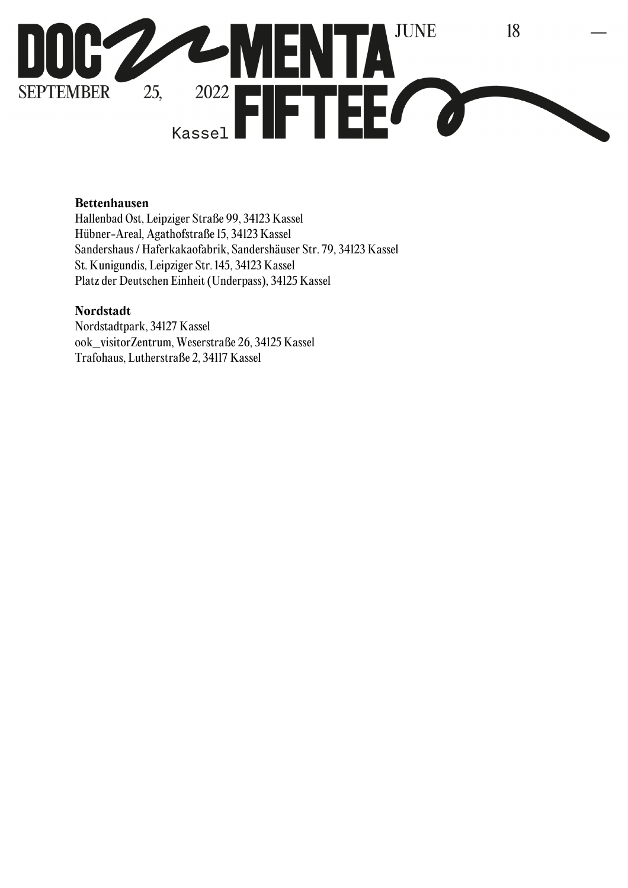

### **Bettenhausen**

Hallenbad Ost, Leipziger Straße 99, 34123 Kassel Hübner-Areal, Agathofstraße 15, 34123 Kassel Sandershaus / Haferkakaofabrik, Sandershäuser Str. 79, 34123 Kassel St. Kunigundis, Leipziger Str. 145, 34123 Kassel Platz der Deutschen Einheit (Underpass), 34125 Kassel

#### **Nordstadt**

Nordstadtpark, 34127 Kassel ook\_visitorZentrum, Weserstraße 26, 34125 Kassel Trafohaus, Lutherstraße 2, 34117 Kassel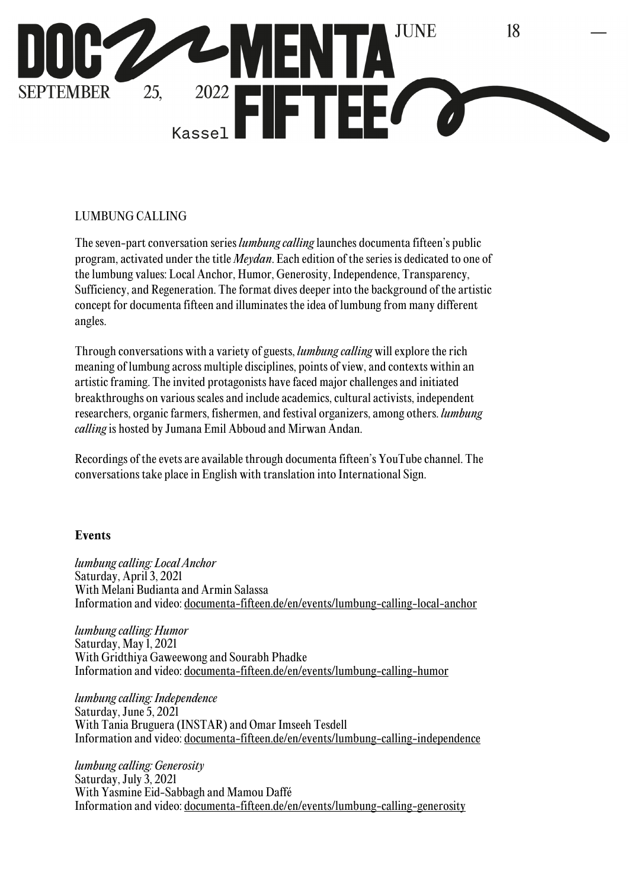

## LUMBUNG CALLING

The seven-part conversation series *lumbung calling* launches documenta fifteen's public program, activated under the title *Meydan*. Each edition of the series is dedicated to one of the lumbung values: Local Anchor, Humor, Generosity, Independence, Transparency, Sufficiency, and Regeneration. The format dives deeper into the background of the artistic concept for documenta fifteen and illuminates the idea of lumbung from many different angles.

Through conversations with a variety of guests, *lumbung calling* will explore the rich meaning of lumbung across multiple disciplines, points of view, and contexts within an artistic framing. The invited protagonists have faced major challenges and initiated breakthroughs on various scales and include academics, cultural activists, independent researchers, organic farmers, fishermen, and festival organizers, among others. *lumbung calling* is hosted by Jumana Emil Abboud and Mirwan Andan.

Recordings of the evets are available through documenta fifteen's YouTube channel. The conversations take place in English with translation into International Sign.

#### **Events**

*lumbung calling: Local Anchor*  Saturday, April 3, 2021 With Melani Budianta and Armin Salassa Information and video: documenta-fifteen.de/en/events/lumbung-calling-local-anchor

*lumbung calling: Humor* Saturday, May 1, 2021 With Gridthiya Gaweewong and Sourabh Phadke Information and video: documenta-fifteen.de/en/events/lumbung-calling-humor

*lumbung calling: Independence* Saturday, June 5, 2021 With Tania Bruguera (INSTAR) and Omar Imseeh Tesdell Information and video: documenta-fifteen.de/en/events/lumbung-calling-independence

*lumbung calling: Generosity* Saturday, July 3, 2021 With Yasmine Eid-Sabbagh and Mamou Daffé Information and video: documenta-fifteen.de/en/events/lumbung-calling-generosity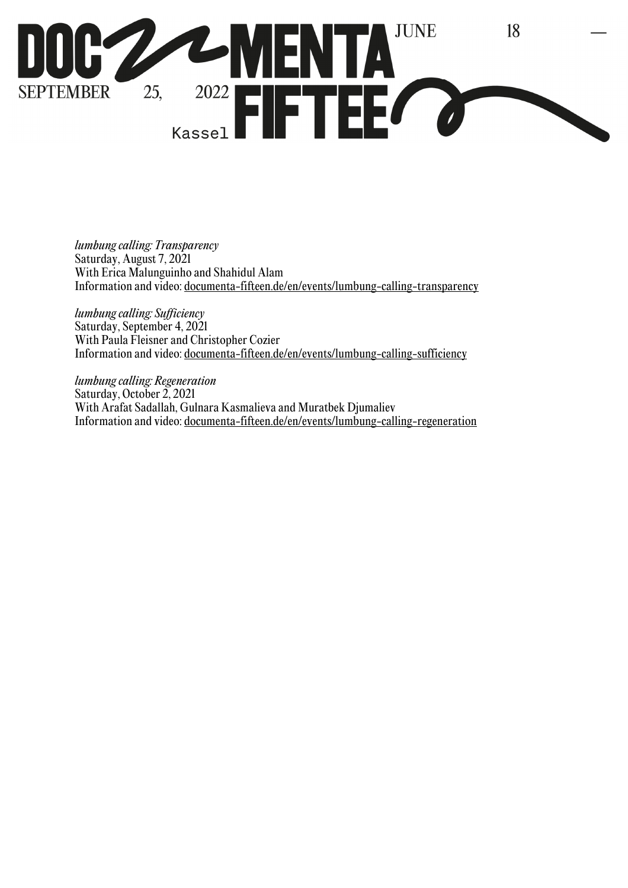

*lumbung calling: Transparency* Saturday, August 7, 2021 With Erica Malunguinho and Shahidul Alam Information and video: documenta-fifteen.de/en/events/lumbung-calling-transparency

*lumbung calling: Sufficiency* Saturday, September 4, 2021 With Paula Fleisner and Christopher Cozier Information and video: documenta-fifteen.de/en/events/lumbung-calling-sufficiency

*lumbung calling: Regeneration* Saturday, October 2, 2021 With Arafat Sadallah, Gulnara Kasmalieva and Muratbek Djumaliev Information and video: documenta-fifteen.de/en/events/lumbung-calling-regeneration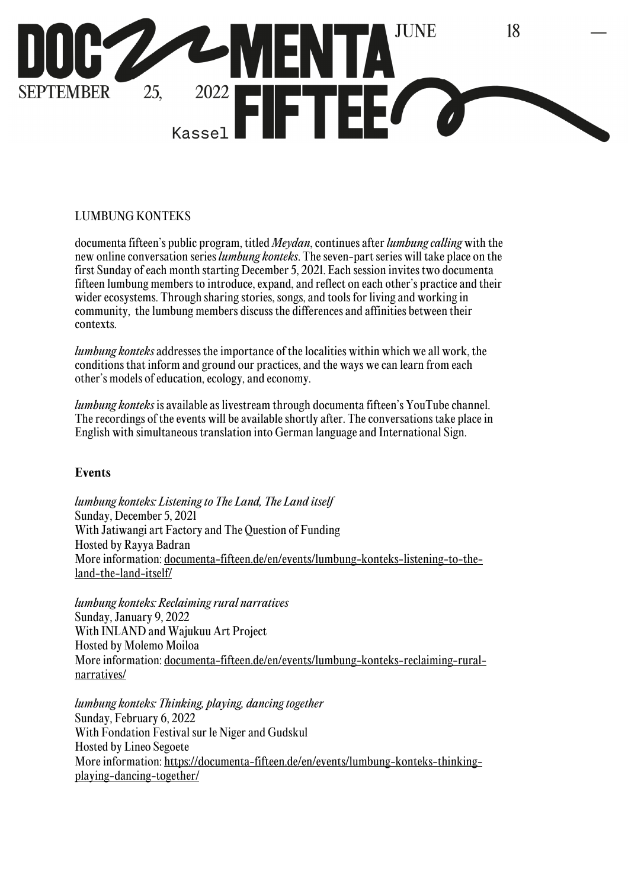

### LUMBUNG KONTEKS

documenta fifteen's public program, titled *Meydan*, continues after *lumbung calling* with the new online conversation series *lumbung konteks*. The seven-part series will take place on the first Sunday of each month starting December 5, 2021. Each session invites two documenta fifteen lumbung members to introduce, expand, and reflect on each other's practice and their wider ecosystems. Through sharing stories, songs, and tools for living and working in community, the lumbung members discuss the differences and affinities between their contexts.

*lumbung konteks* addresses the importance of the localities within which we all work, the conditions that inform and ground our practices, and the ways we can learn from each other's models of education, ecology, and economy.

*lumbung konteks* is available as livestream through documenta fifteen's YouTube channel. The recordings of the events will be available shortly after. The conversations take place in English with simultaneous translation into German language and International Sign.

### **Events**

*lumbung konteks: Listening to The Land, The Land itself* Sunday, December 5, 2021 With Jatiwangi art Factory and The Question of Funding Hosted by Rayya Badran More information: documenta-fifteen.de/en/events/lumbung-konteks-listening-to-theland-the-land-itself/

*lumbung konteks: Reclaiming rural narratives* Sunday, January 9, 2022 With INLAND and Wajukuu Art Project Hosted by Molemo Moiloa More information: documenta-fifteen.de/en/events/lumbung-konteks-reclaiming-ruralnarratives/

*lumbung konteks: Thinking, playing, dancing together* Sunday, February 6, 2022 With Fondation Festival sur le Niger and Gudskul Hosted by Lineo Segoete More information: https://documenta-fifteen.de/en/events/lumbung-konteks-thinkingplaying-dancing-together/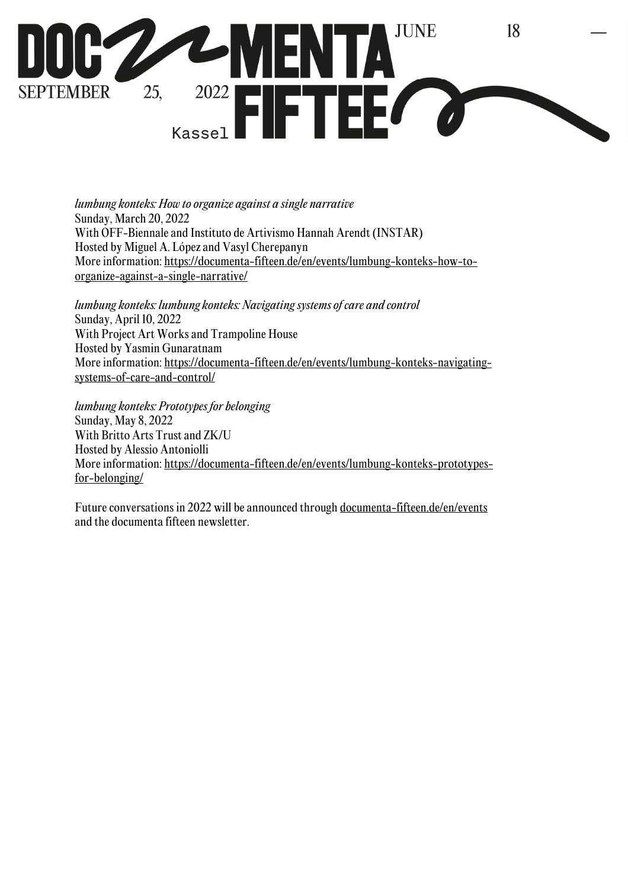

*lumbung konteks: How to organize against a single narrative*  Sunday, March 20, 2022 With OFF-Biennale and Instituto de Artivismo Hannah Arendt (INSTAR) Hosted by Miguel A. López and Vasyl Cherepanyn More information: https://documenta-fifteen.de/en/events/lumbung-konteks-how-toorganize-against-a-single-narrative/

*lumbung konteks: lumbung konteks: Navigating systems of care and control* Sunday, April 10, 2022 With Project Art Works and Trampoline House Hosted by Yasmin Gunaratnam More information: https://documenta-fifteen.de/en/events/lumbung-konteks-navigatingsystems-of-care-and-control/

*lumbung konteks: Prototypes for belonging*  Sunday, May 8, 2022 With Britto Arts Trust and ZK/U Hosted by Alessio Antoniolli More information: https://documenta-fifteen.de/en/events/lumbung-konteks-prototypesfor-belonging/

Future conversations in 2022 will be announced through documenta-fifteen.de/en/events and the documenta fifteen newsletter.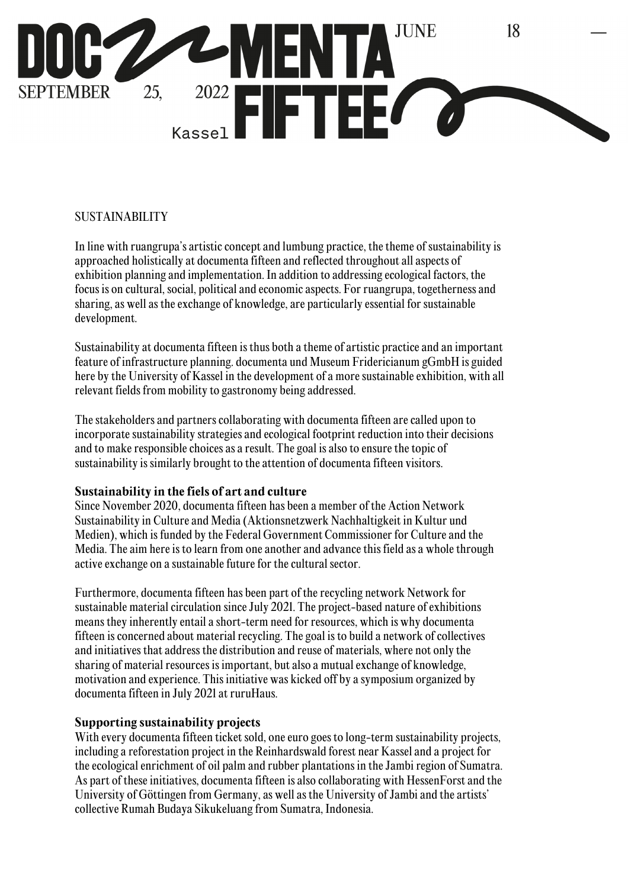

### SUSTAINABILITY

In line with ruangrupa's artistic concept and lumbung practice, the theme of sustainability is approached holistically at documenta fifteen and reflected throughout all aspects of exhibition planning and implementation. In addition to addressing ecological factors, the focus is on cultural, social, political and economic aspects. For ruangrupa, togetherness and sharing, as well as the exchange of knowledge, are particularly essential for sustainable development.

Sustainability at documenta fifteen is thus both a theme of artistic practice and an important feature of infrastructure planning. documenta und Museum Fridericianum gGmbH is guided here by the University of Kassel in the development of a more sustainable exhibition, with all relevant fields from mobility to gastronomy being addressed.

The stakeholders and partners collaborating with documenta fifteen are called upon to incorporate sustainability strategies and ecological footprint reduction into their decisions and to make responsible choices as a result. The goal is also to ensure the topic of sustainability is similarly brought to the attention of documenta fifteen visitors.

### **Sustainability in the fiels of art and culture**

Since November 2020, documenta fifteen has been a member of the Action Network Sustainability in Culture and Media (Aktionsnetzwerk Nachhaltigkeit in Kultur und Medien), which is funded by the Federal Government Commissioner for Culture and the Media. The aim here is to learn from one another and advance this field as a whole through active exchange on a sustainable future for the cultural sector.

Furthermore, documenta fifteen has been part of the recycling network Network for sustainable material circulation since July 2021. The project-based nature of exhibitions means they inherently entail a short-term need for resources, which is why documenta fifteen is concerned about material recycling. The goal is to build a network of collectives and initiatives that address the distribution and reuse of materials, where not only the sharing of material resources is important, but also a mutual exchange of knowledge, motivation and experience. This initiative was kicked off by a symposium organized by documenta fifteen in July 2021 at ruruHaus.

### **Supporting sustainability projects**

With every documenta fifteen ticket sold, one euro goes to long-term sustainability projects, including a reforestation project in the Reinhardswald forest near Kassel and a project for the ecological enrichment of oil palm and rubber plantations in the Jambi region of Sumatra. As part of these initiatives, documenta fifteen is also collaborating with HessenForst and the University of Göttingen from Germany, as well as the University of Jambi and the artists' collective Rumah Budaya Sikukeluang from Sumatra, Indonesia.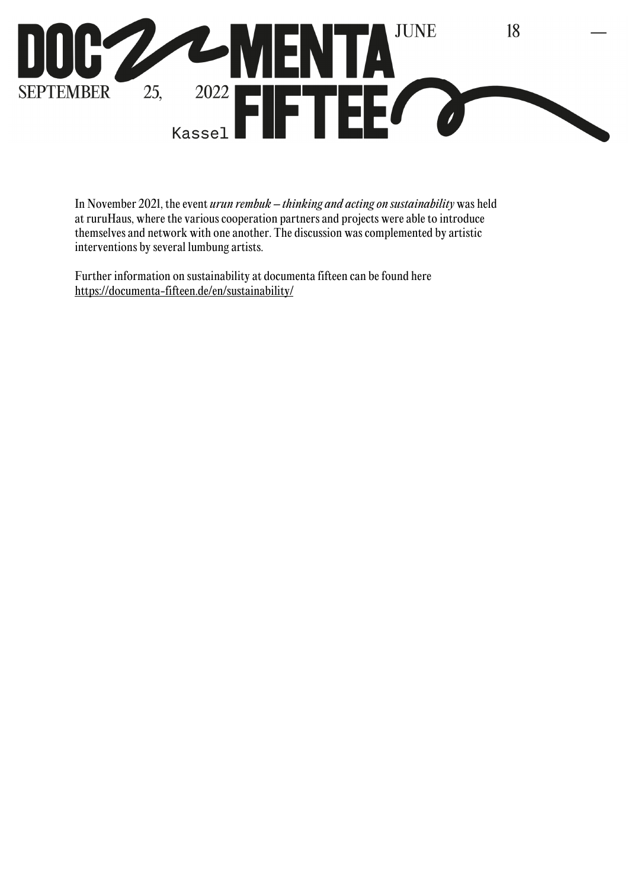

In November 2021, the event *urun rembuk – thinking and acting on sustainability* was held at ruruHaus, where the various cooperation partners and projects were able to introduce themselves and network with one another. The discussion was complemented by artistic interventions by several lumbung artists.

Further information on sustainability at documenta fifteen can be found here https://documenta-fifteen.de/en/sustainability/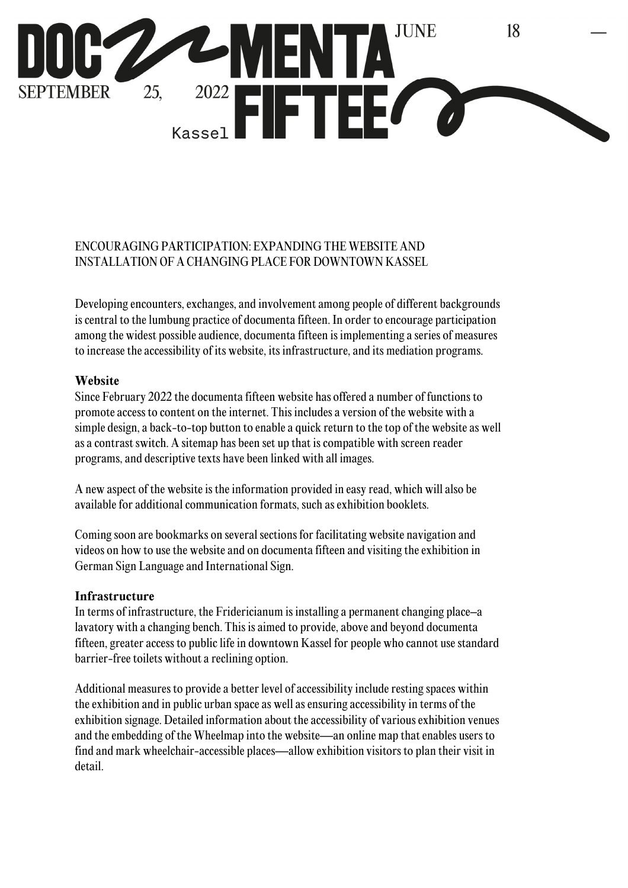

## ENCOURAGING PARTICIPATION: EXPANDING THE WEBSITE AND INSTALLATION OF A CHANGING PLACE FOR DOWNTOWN KASSEL

Developing encounters, exchanges, and involvement among people of different backgrounds is central to the lumbung practice of documenta fifteen. In order to encourage participation among the widest possible audience, documenta fifteen is implementing a series of measures to increase the accessibility of its website, its infrastructure, and its mediation programs.

## **Website**

Since February 2022 the documenta fifteen website has offered a number of functions to promote access to content on the internet. This includes a version of the website with a simple design, a back-to-top button to enable a quick return to the top of the website as well as a contrast switch. A sitemap has been set up that is compatible with screen reader programs, and descriptive texts have been linked with all images.

A new aspect of the website is the information provided in easy read, which will also be available for additional communication formats, such as exhibition booklets.

Coming soon are bookmarks on several sections for facilitating website navigation and videos on how to use the website and on documenta fifteen and visiting the exhibition in German Sign Language and International Sign.

### **Infrastructure**

In terms of infrastructure, the Fridericianum is installing a permanent changing place–a lavatory with a changing bench. This is aimed to provide, above and beyond documenta fifteen, greater access to public life in downtown Kassel for people who cannot use standard barrier-free toilets without a reclining option.

Additional measures to provide a better level of accessibility include resting spaces within the exhibition and in public urban space as well as ensuring accessibility in terms of the exhibition signage. Detailed information about the accessibility of various exhibition venues and the embedding of the Wheelmap into the website—an online map that enables users to find and mark wheelchair-accessible places—allow exhibition visitors to plan their visit in detail.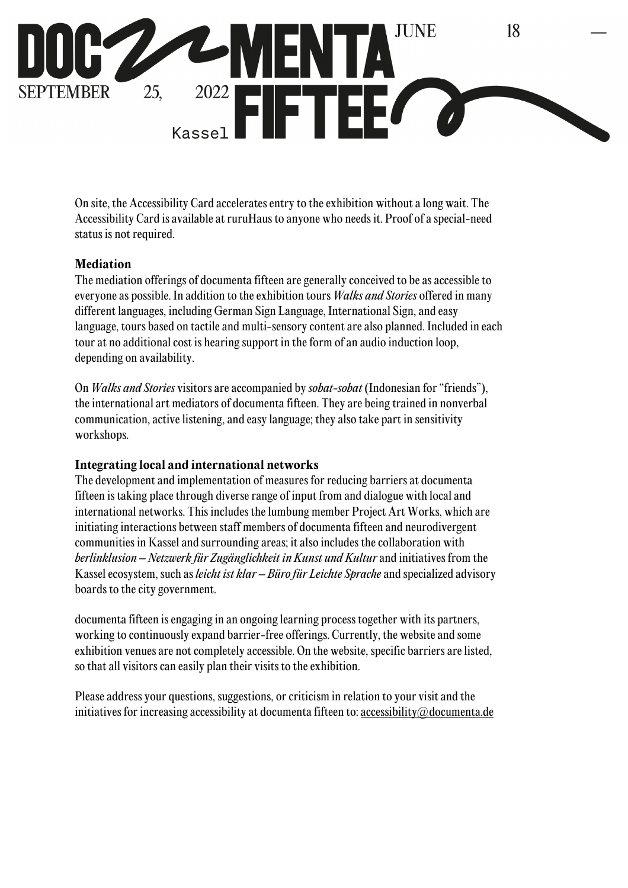

On site, the Accessibility Card accelerates entry to the exhibition without a long wait. The Accessibility Card is available at ruruHaus to anyone who needs it. Proof of a special-need status is not required.

### **Mediation**

The mediation offerings of documenta fifteen are generally conceived to be as accessible to everyone as possible. In addition to the exhibition tours *Walks and Stories* offered in many different languages, including German Sign Language, International Sign, and easy language, tours based on tactile and multi-sensory content are also planned. Included in each tour at no additional cost is hearing support in the form of an audio induction loop, depending on availability.

On *Walks and Stories* visitors are accompanied by *sobat-sobat* (Indonesian for "friends"), the international art mediators of documenta fifteen. They are being trained in nonverbal communication, active listening, and easy language; they also take part in sensitivity workshops.

## **Integrating local and international networks**

The development and implementation of measures for reducing barriers at documenta fifteen is taking place through diverse range of input from and dialogue with local and international networks. This includes the lumbung member Project Art Works, which are initiating interactions between staff members of documenta fifteen and neurodivergent communities in Kassel and surrounding areas; it also includes the collaboration with *berlinklusion – Netzwerk für Zugänglichkeit in Kunst und Kultur* and initiatives from the Kassel ecosystem, such as *leicht ist klar – Büro für Leichte Sprache* and specialized advisory boards to the city government.

documenta fifteen is engaging in an ongoing learning process together with its partners, working to continuously expand barrier-free offerings. Currently, the website and some exhibition venues are not completely accessible. On the website, specific barriers are listed, so that all visitors can easily plan their visits to the exhibition.

Please address your questions, suggestions, or criticism in relation to your visit and the initiatives for increasing accessibility at documenta fifteen to: accessibility@documenta.de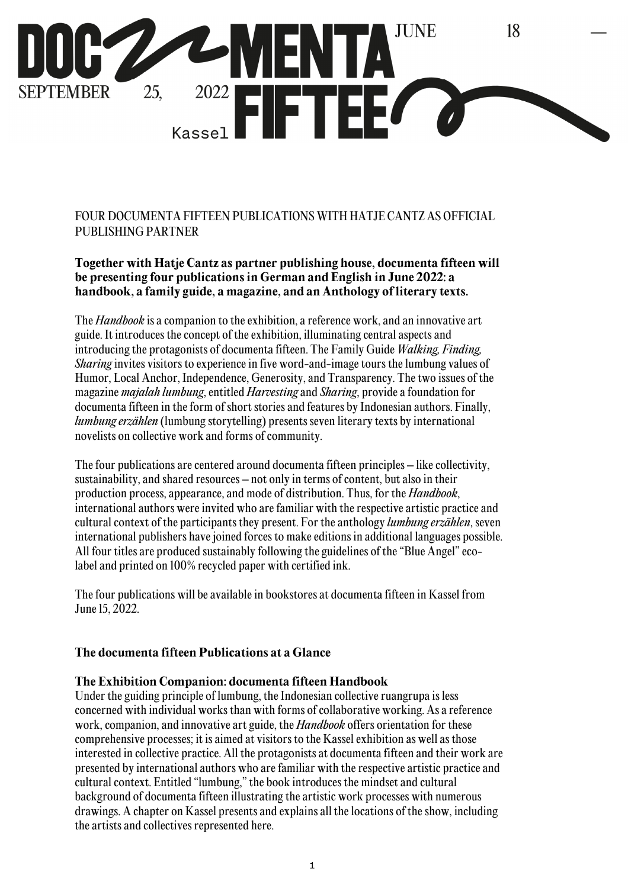

FOUR DOCUMENTA FIFTEEN PUBLICATIONS WITH HATJE CANTZ AS OFFICIAL PUBLISHING PARTNER

**Together with Hatje Cantz as partner publishing house, documenta fifteen will be presenting four publications in German and English in June 2022: a handbook, a family guide, a magazine, and an Anthology of literary texts.** 

The *Handbook* is a companion to the exhibition, a reference work, and an innovative art guide. It introduces the concept of the exhibition, illuminating central aspects and introducing the protagonists of documenta fifteen. The Family Guide *Walking, Finding, Sharing* invites visitors to experience in five word-and-image tours the lumbung values of Humor, Local Anchor, Independence, Generosity, and Transparency. The two issues of the magazine *majalah lumbung*, entitled *Harvesting* and *Sharing*, provide a foundation for documenta fifteen in the form of short stories and features by Indonesian authors. Finally, *lumbung erzählen* (lumbung storytelling) presents seven literary texts by international novelists on collective work and forms of community.

The four publications are centered around documenta fifteen principles – like collectivity, sustainability, and shared resources – not only in terms of content, but also in their production process, appearance, and mode of distribution. Thus, for the *Handbook*, international authors were invited who are familiar with the respective artistic practice and cultural context of the participants they present. For the anthology *lumbung erzählen*, seven international publishers have joined forces to make editions in additional languages possible. All four titles are produced sustainably following the guidelines of the "Blue Angel" ecolabel and printed on 100% recycled paper with certified ink.

The four publications will be available in bookstores at documenta fifteen in Kassel from June 15, 2022.

#### **The documenta fifteen Publications at a Glance**

#### **The Exhibition Companion: documenta fifteen Handbook**

Under the guiding principle of lumbung, the Indonesian collective ruangrupa is less concerned with individual works than with forms of collaborative working. As a reference work, companion, and innovative art guide, the *Handbook* offers orientation for these comprehensive processes; it is aimed at visitors to the Kassel exhibition as well as those interested in collective practice. All the protagonists at documenta fifteen and their work are presented by international authors who are familiar with the respective artistic practice and cultural context. Entitled "lumbung," the book introduces the mindset and cultural background of documenta fifteen illustrating the artistic work processes with numerous drawings. A chapter on Kassel presents and explains all the locations of the show, including the artists and collectives represented here.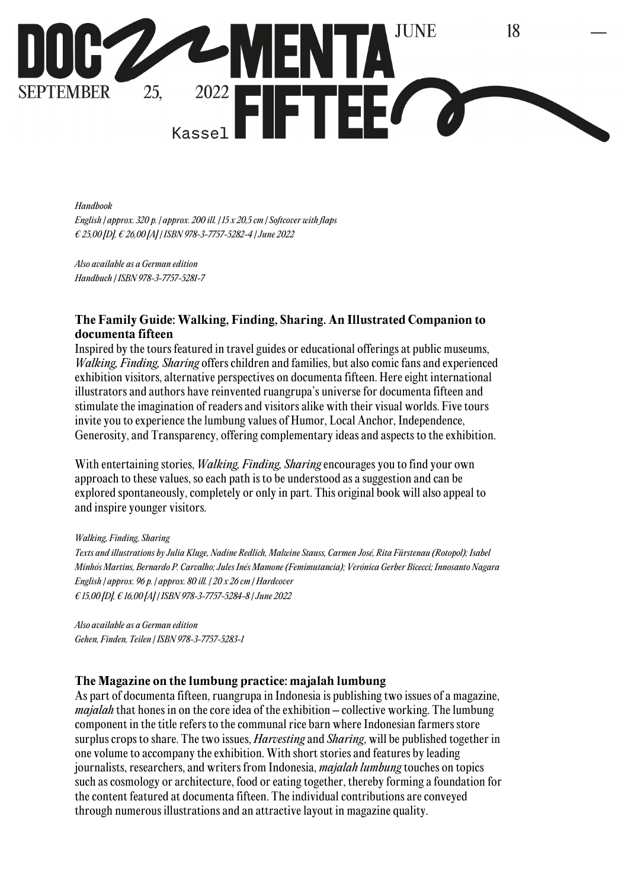

*Handbook English | approx. 320 p. | approx. 200 ill. | 15 x 20,5 cm | Softcover with flaps € 25,00 [D], € 26,00 [A] | ISBN 978-3-7757-5282-4 | June 2022* 

*Also available as a German edition Handbuch | ISBN 978-3-7757-5281-7*

#### **The Family Guide: Walking, Finding, Sharing. An Illustrated Companion to documenta fifteen**

Inspired by the tours featured in travel guides or educational offerings at public museums, *Walking, Finding, Sharing* offers children and families, but also comic fans and experienced exhibition visitors, alternative perspectives on documenta fifteen. Here eight international illustrators and authors have reinvented ruangrupa's universe for documenta fifteen and stimulate the imagination of readers and visitors alike with their visual worlds. Five tours invite you to experience the lumbung values of Humor, Local Anchor, Independence, Generosity, and Transparency, offering complementary ideas and aspects to the exhibition.

With entertaining stories, *Walking, Finding, Sharing* encourages you to find your own approach to these values, so each path is to be understood as a suggestion and can be explored spontaneously, completely or only in part. This original book will also appeal to and inspire younger visitors.

*Walking, Finding, Sharing Texts and illustrations by Julia Kluge, Nadine Redlich, Malwine Stauss, Carmen José, Rita Fürstenau (Rotopol); Isabel Minhós Martins, Bernardo P. Carvalho; Jules Inés Mamone (Femimutancia); Verónica Gerber Bicecci; Innosanto Nagara English | approx. 96 p. | approx. 80 ill. | 20 x 26 cm | Hardcover € 15,00 [D], € 16,00 [A] | ISBN 978-3-7757-5284-8 | June 2022* 

*Also available as a German edition Gehen, Finden, Teilen | ISBN 978-3-7757-5283-1*

#### **The Magazine on the lumbung practice: majalah lumbung**

As part of documenta fifteen, ruangrupa in Indonesia is publishing two issues of a magazine, *majalah* that hones in on the core idea of the exhibition – collective working. The lumbung component in the title refers to the communal rice barn where Indonesian farmers store surplus crops to share. The two issues, *Harvesting* and *Sharing*, will be published together in one volume to accompany the exhibition. With short stories and features by leading journalists, researchers, and writers from Indonesia, *majalah lumbung* touches on topics such as cosmology or architecture, food or eating together, thereby forming a foundation for the content featured at documenta fifteen. The individual contributions are conveyed through numerous illustrations and an attractive layout in magazine quality.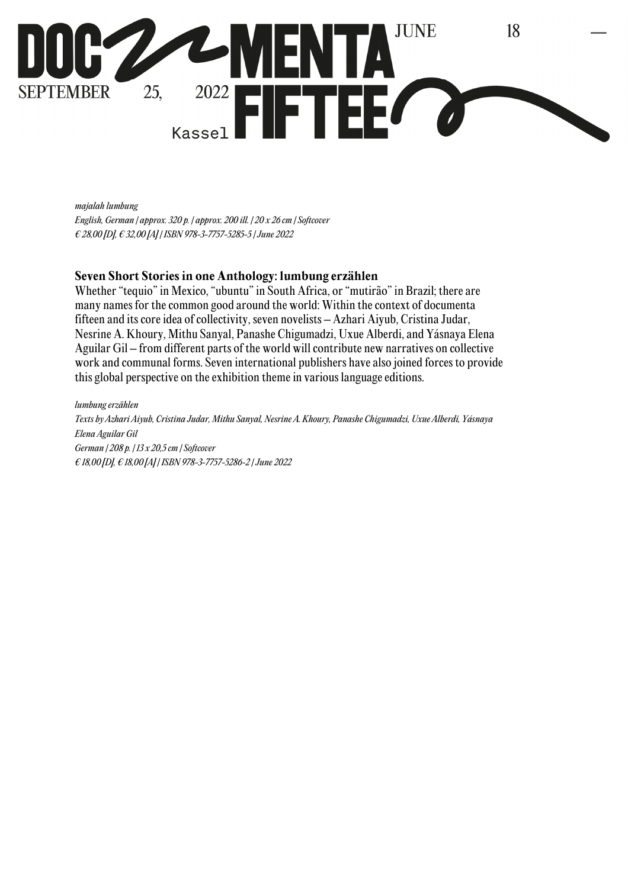

*majalah lumbung* 

*English, German | approx. 320 p. | approx. 200 ill. | 20 x 26 cm | Softcover € 28,00 [D], € 32,00 [A] | ISBN 978-3-7757-5285-5 | June 2022* 

#### **Seven Short Stories in one Anthology: lumbung erzählen**

Whether "tequio" in Mexico, "ubuntu" in South Africa, or "mutirão" in Brazil; there are many names for the common good around the world: Within the context of documenta fifteen and its core idea of collectivity, seven novelists – Azhari Aiyub, Cristina Judar, Nesrine A. Khoury, Mithu Sanyal, Panashe Chigumadzi, Uxue Alberdi, and Yásnaya Elena Aguilar Gil – from different parts of the world will contribute new narratives on collective work and communal forms. Seven international publishers have also joined forces to provide this global perspective on the exhibition theme in various language editions.

*lumbung erzählen Texts by Azhari Aiyub, Cristina Judar, Mithu Sanyal, Nesrine A. Khoury, Panashe Chigumadzi, Uxue Alberdi, Yásnaya Elena Aguilar Gil German | 208 p. | 13 x 20,5 cm | Softcover € 18,00 [D], € 18,00 [A] | ISBN 978-3-7757-5286-2 | June 2022*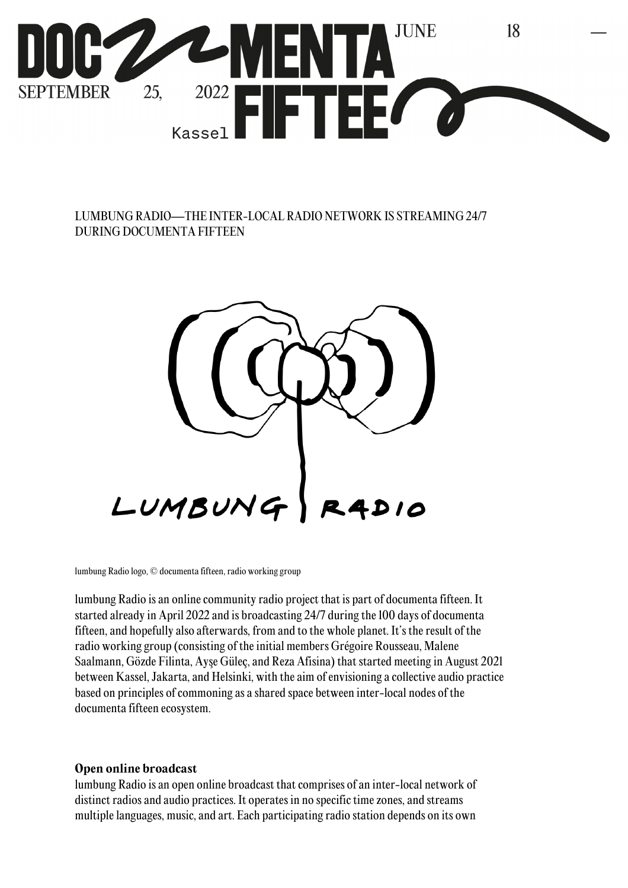

## LUMBUNG RADIO—THE INTER-LOCAL RADIO NETWORK IS STREAMING 24/7 DURING DOCUMENTA FIFTEEN



lumbung Radio logo, © documenta fifteen, radio working group

lumbung Radio is an online community radio project that is part of documenta fifteen. It started already in April 2022 and is broadcasting 24/7 during the 100 days of documenta fifteen, and hopefully also afterwards, from and to the whole planet. It's the result of the radio working group (consisting of the initial members Grégoire Rousseau, Malene Saalmann, Gözde Filinta, Ayşe Güleç, and Reza Afisina) that started meeting in August 2021 between Kassel, Jakarta, and Helsinki, with the aim of envisioning a collective audio practice based on principles of commoning as a shared space between inter-local nodes of the documenta fifteen ecosystem.

#### **Open online broadcast**

lumbung Radio is an open online broadcast that comprises of an inter-local network of distinct radios and audio practices. It operates in no specific time zones, and streams multiple languages, music, and art. Each participating radio station depends on its own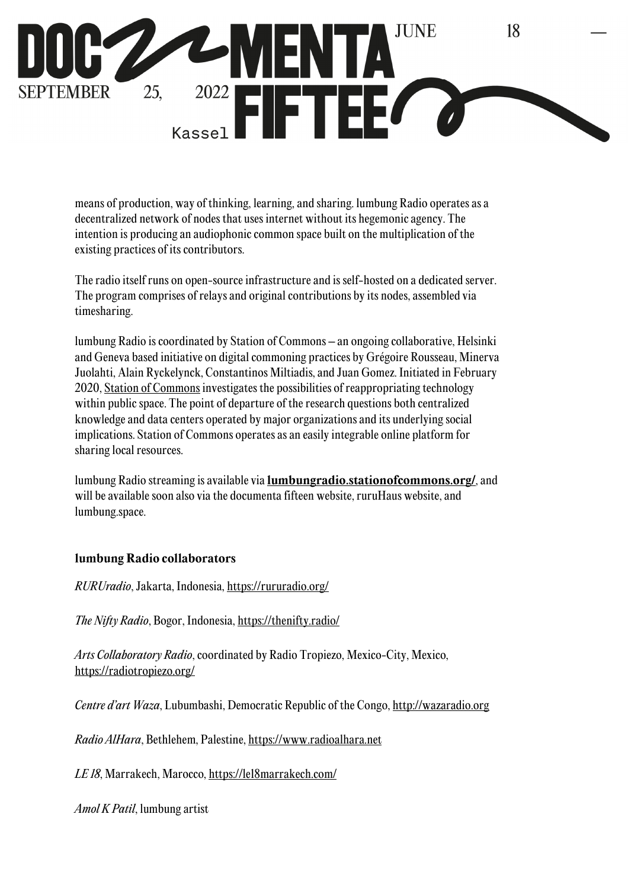

means of production, way of thinking, learning, and sharing. lumbung Radio operates as a decentralized network of nodes that uses internet without its hegemonic agency. The intention is producing an audiophonic common space built on the multiplication of the existing practices of its contributors.

The radio itself runs on open-source infrastructure and is self-hosted on a dedicated server. The program comprises of relays and original contributions by its nodes, assembled via timesharing.

lumbung Radio is coordinated by Station of Commons – an ongoing collaborative, Helsinki and Geneva based initiative on digital commoning practices by Grégoire Rousseau, Minerva Juolahti, Alain Ryckelynck, Constantinos Miltiadis, and Juan Gomez. Initiated in February 2020, Station of Commons investigates the possibilities of reappropriating technology within public space. The point of departure of the research questions both centralized knowledge and data centers operated by major organizations and its underlying social implications. Station of Commons operates as an easily integrable online platform for sharing local resources.

lumbung Radio streaming is available via **lumbungradio.stationofcommons.org/**, and will be available soon also via the documenta fifteen website, ruruHaus website, and lumbung.space.

### **lumbung Radio collaborators**

*RURUradio*, Jakarta, Indonesia, https://rururadio.org/

*The Nifty Radio*, Bogor, Indonesia, https://thenifty.radio/

*Arts Collaboratory Radio*, coordinated by Radio Tropiezo, Mexico-City, Mexico, https://radiotropiezo.org/

*Centre d'art Waza*, Lubumbashi, Democratic Republic of the Congo, http://wazaradio.org

*Radio AlHara*, Bethlehem, Palestine, https://www.radioalhara.net

*LE 18*, Marrakech, Marocco, https://le18marrakech.com/

*Amol K Patil*, lumbung artist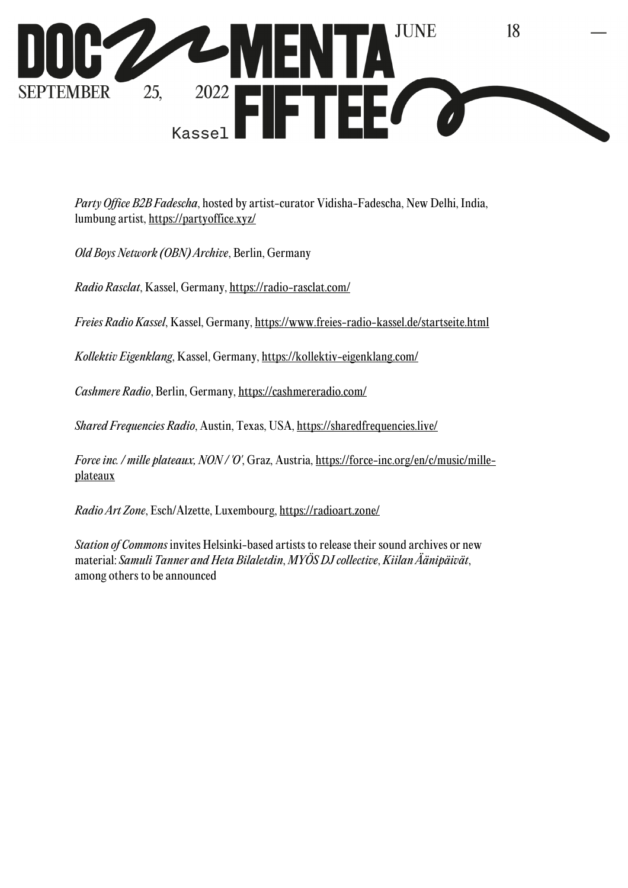

*Party Office B2B Fadescha*, hosted by artist-curator Vidisha-Fadescha, New Delhi, India, lumbung artist, https://partyoffice.xyz/

*Old Boys Network (OBN) Archive*, Berlin, Germany

*Radio Rasclat*, Kassel, Germany, https://radio-rasclat.com/

*Freies Radio Kassel*, Kassel, Germany, https://www.freies-radio-kassel.de/startseite.html

*Kollektiv Eigenklang*, Kassel, Germany, https://kollektiv-eigenklang.com/

*Cashmere Radio*, Berlin, Germany, https://cashmereradio.com/

*Shared Frequencies Radio*, Austin, Texas, USA, https://sharedfrequencies.live/

*Force inc. / mille plateaux, NON / 'O'*, Graz, Austria, https://force-inc.org/en/c/music/milleplateaux

*Radio Art Zone*, Esch/Alzette, Luxembourg, https://radioart.zone/

*Station of Commons* invites Helsinki-based artists to release their sound archives or new material: *Samuli Tanner and Heta Bilaletdin*, *MYÖS DJ collective*, *Kiilan Äänipäivät*, among others to be announced